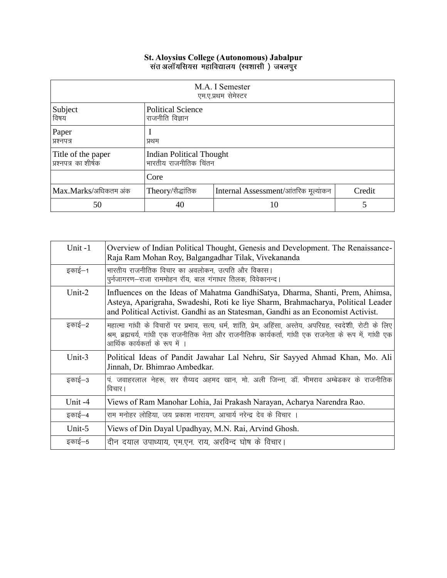## **St. Aloysius College (Autonomous) Jabalpur**

|                                            |                                                          | M.A. I Semester<br>एम.ए.प्रथम सेमेस्टर |        |
|--------------------------------------------|----------------------------------------------------------|----------------------------------------|--------|
| Subject<br>विषय                            | <b>Political Science</b><br>राजनीति विज्ञान              |                                        |        |
| Paper<br>प्रश्नपत्र                        | प्रथम                                                    |                                        |        |
| Title of the paper<br>प्रश्नपत्र का शीर्षक | <b>Indian Political Thought</b><br>भारतीय राजनीतिक चिंतन |                                        |        |
|                                            | Core                                                     |                                        |        |
| Max.Marks/अधिकतम अंक                       | Theory/सैद्धांतिक                                        | Internal Assessment/आंतरिक मूल्यांकन   | Credit |
| 50                                         | 40                                                       | 10                                     |        |

| Unit-1    | Overview of Indian Political Thought, Genesis and Development. The Renaissance-<br>Raja Ram Mohan Roy, Balgangadhar Tilak, Vivekananda                                                                                                                   |
|-----------|----------------------------------------------------------------------------------------------------------------------------------------------------------------------------------------------------------------------------------------------------------|
| इकाई—1    | भारतीय राजनीतिक विचार का अवलोकन, उत्पति और विकास।<br>पूर्नजागरण-राजा राममोहन रॉय, बाल गंगाधर तिलक, विवेकानन्द।                                                                                                                                           |
| Unit-2    | Influences on the Ideas of Mahatma GandhiSatya, Dharma, Shanti, Prem, Ahimsa,<br>Asteya, Aparigraha, Swadeshi, Roti ke liye Sharm, Brahmacharya, Political Leader<br>and Political Activist. Gandhi as an Statesman, Gandhi as an Economist Activist.    |
| इकाई—2    | महात्मा गांधी के विचारों पर प्रभाव, सत्य, धर्म, शांति, प्रेम, अहिंसा, अस्तेय, अपरिग्रह, स्वदेशी, रोटी के लिए<br>श्रम, ब्रह्मचर्य, गांधी एक राजनीतिक नेता और राजनीतिक कार्यकर्ता, गांधी एक राजनेता के रूप में, गांधी एक<br>आर्थिक कार्यकर्ता के रूप में । |
| Unit-3    | Political Ideas of Pandit Jawahar Lal Nehru, Sir Sayyed Ahmad Khan, Mo. Ali<br>Jinnah, Dr. Bhimrao Ambedkar.                                                                                                                                             |
| इकाई–3    | पं. जवाहरलाल नेहरू, सर सैय्यद अहमद खान, मो. अली जिन्ना, डॉ. भीमराव अम्बेडकर के राजनीतिक<br>विचार।                                                                                                                                                        |
| Unit -4   | Views of Ram Manohar Lohia, Jai Prakash Narayan, Acharya Narendra Rao.                                                                                                                                                                                   |
| इकाई–4    | राम मनोहर लोहिया, जय प्रकाश नारायण, आचार्य नरेन्द्र देव के विचार ।                                                                                                                                                                                       |
| Unit- $5$ | Views of Din Dayal Upadhyay, M.N. Rai, Arvind Ghosh.                                                                                                                                                                                                     |
| इकाई–5    | दीन दयाल उपाध्याय, एम.एन. राय, अरविन्द घोष के विचार।                                                                                                                                                                                                     |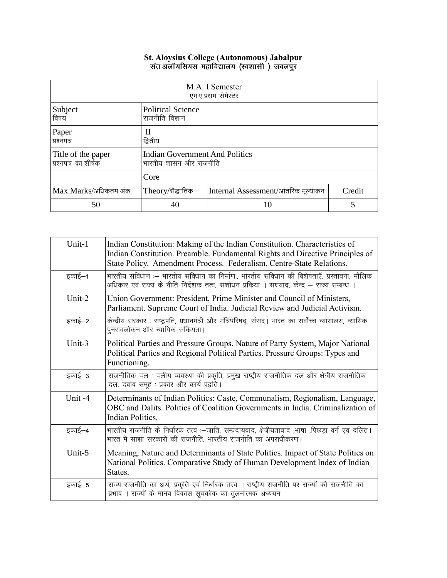## St. Aloysius College (Autonomous) Jabalpur<br>संत अलॉयसियस महाविद्यालय (स्वशासी ) जबलपुर

|                                            |                                                                 | M.A. I Semester<br>एम.ए.प्रथम सेमेस्टर |        |
|--------------------------------------------|-----------------------------------------------------------------|----------------------------------------|--------|
| Subject<br>विषय                            | <b>Political Science</b><br>राजनीति विज्ञान                     |                                        |        |
| Paper<br>प्रश्नपत्र                        | Н<br>द्वितीय                                                    |                                        |        |
| Title of the paper<br>प्रश्नपत्र का शीर्षक | <b>Indian Government And Politics</b><br>भारतीय शासन और राजनीति |                                        |        |
|                                            | Core                                                            |                                        |        |
| Max.Marks/अधिकतम अंक                       | Theory/सैद्धांतिक                                               | Internal Assessment/आंतरिक मूल्यांकन   | Credit |
| 50                                         | 40                                                              | 10                                     |        |

| Unit-1 | Indian Constitution: Making of the Indian Constitution. Characteristics of<br>Indian Constitution. Preamble. Fundamental Rights and Directive Principles of<br>State Policy. Amendment Process. Federalism, Centre-State Relations. |
|--------|-------------------------------------------------------------------------------------------------------------------------------------------------------------------------------------------------------------------------------------|
| इकाई–1 | भारतीय संविधान :-- भारतीय संविधान का निर्माण,, भारतीय संविधान की विशेषताएँ, प्रस्तावना, मौलिक<br>अधिकार एवं राज्य के नीति निर्देशक तत्व, संशोधन प्रक्रिया । संघवाद, केन्द्र – राज्य सम्बन्ध ।                                       |
| Unit-2 | Union Government: President, Prime Minister and Council of Ministers,<br>Parliament. Supreme Court of India. Judicial Review and Judicial Activism.                                                                                 |
| इकाई–2 | केन्द्रीय सरकार : राष्ट्रपति, प्रधानमंत्री और मंत्रिपरिषद्, संसद। भारत का सर्वोच्च न्यायालय, न्यायिक<br>पुनरावलोकन और न्यायिक सकियता।                                                                                               |
| Unit-3 | Political Parties and Pressure Groups. Nature of Party System, Major National<br>Political Parties and Regional Political Parties. Pressure Groups: Types and<br>Functioning.                                                       |
| इकाई–3 | राजनीतिक दल : दलीय व्यवस्था की प्रकृति, प्रमुख राष्ट्रीय राजनीतिक दल और क्षेत्रीय राजनीतिक<br>दल, दबाव समूह : प्रकार और कार्य पद्वति ।                                                                                              |
| Unit-4 | Determinants of Indian Politics: Caste, Communalism, Regionalism, Language,<br>OBC and Dalits. Politics of Coalition Governments in India. Criminalization of<br><b>Indian Politics.</b>                                            |
| इकाई–4 | भारतीय राजनीति के निर्धारक तत्व :--जाति, सम्प्रदायवाद, क्षेत्रीयतावाद ,भाषा ,पिछड़ा वर्ग एवं दलित।<br>भारत में साझा सरकारों की राजनीति, भारतीय राजनीति का अपराधीकरण।                                                                |
| Unit-5 | Meaning, Nature and Determinants of State Politics. Impact of State Politics on<br>National Politics. Comparative Study of Human Development Index of Indian<br>States.                                                             |
| इकाई–5 | राज्य राजनीति का अर्थ, प्रकृति एवं निर्धारक तत्त्व । राष्ट्रीय राजनीति पर राज्यों की राजनीति का<br>प्रभाव । राज्यों के मानव विकास सूचकांक का तुलनात्मक अध्ययन ।                                                                     |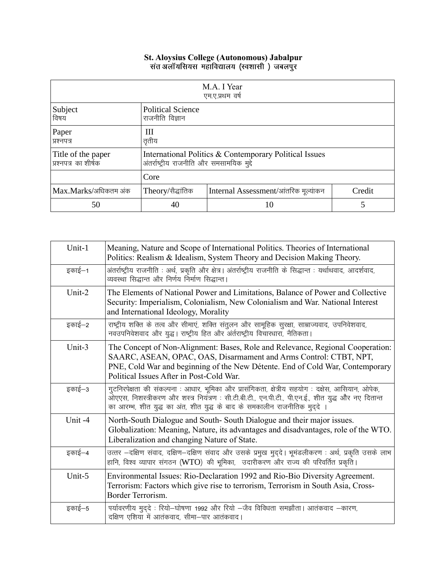## St. Aloysius College (Autonomous) Jabalpur<br>संत अलॉयसियस महाविद्यालय (स्वशासी ) जबलपुर

|                                            |                                                                                                     | M.A. I Year<br>एम.ए.प्रथम वर्ष       |        |
|--------------------------------------------|-----------------------------------------------------------------------------------------------------|--------------------------------------|--------|
| Subject<br>विषय                            | <b>Political Science</b><br>राजनीति विज्ञान                                                         |                                      |        |
| Paper<br>प्रश्नपत्र                        | Ш<br>तृतीय                                                                                          |                                      |        |
| Title of the paper<br>प्रश्नपत्र का शीर्षक | International Politics & Contemporary Political Issues<br>अंतर्राष्ट्रीय राजनीति और समसामयिक मुद्दे |                                      |        |
|                                            | Core                                                                                                |                                      |        |
| Max.Marks/अधिकतम अंक                       | Theory/सैद्धांतिक                                                                                   | Internal Assessment/आंतरिक मूल्यांकन | Credit |
| 50                                         | 40                                                                                                  | 10                                   | 5      |

| Unit-1    | Meaning, Nature and Scope of International Politics. Theories of International<br>Politics: Realism & Idealism, System Theory and Decision Making Theory.                                                                                                                          |
|-----------|------------------------------------------------------------------------------------------------------------------------------------------------------------------------------------------------------------------------------------------------------------------------------------|
| इकाई–1    | अंतर्राष्ट्रीय राजनीति : अर्थ, प्रकृति और क्षेत्र। अंतर्राष्ट्रीय राजनीति के सिद्धान्त : यर्थाथवाद, आदर्शवाद,<br>व्यवस्था सिद्धान्त और निर्णय निर्माण सिद्धान्त।                                                                                                                   |
| Unit- $2$ | The Elements of National Power and Limitations, Balance of Power and Collective<br>Security: Imperialism, Colonialism, New Colonialism and War. National Interest<br>and International Ideology, Morality                                                                          |
| इकाई–2    | राष्ट्रीय शक्ति के तत्व और सीमाएं, शक्ति संतुलन और सामूहिक सुरक्षा, साम्राज्यवाद, उपनिवेशवाद,<br>नवउपनिवेशवाद और युद्ध। राष्ट्रीय हित और अंर्तराष्ट्रीय विचारधारा, नैतिकता।                                                                                                        |
| Unit-3    | The Concept of Non-Alignment: Bases, Role and Relevance, Regional Cooperation:<br>SAARC, ASEAN, OPAC, OAS, Disarmament and Arms Control: CTBT, NPT,<br>PNE, Cold War and beginning of the New Détente. End of Cold War, Contemporary<br>Political Issues After in Post-Cold War.   |
| इकाई–3    | गुटनिरपेक्षता की संकल्पना : आधार, भूमिका और प्रासंगिकता, क्षेत्रीय सहयोग : दक्षेस, आसियान, ओपेक,<br>ओएएस, निशस्त्रीकरण और शस्त्र नियंत्रण: सी.टी.बी.टी., एन.पी.टी., पी.एन.ई., शीत युद्ध और नए दितान्त<br>का आरम्भ, शीत युद्ध का अंत, शीत युद्ध के बाद के समकालीन राजनीतिक मुद्दे । |
| Unit-4    | North-South Dialogue and South-South Dialogue and their major issues.<br>Globalization: Meaning, Nature, its advantages and disadvantages, role of the WTO.<br>Liberalization and changing Nature of State.                                                                        |
| इकाई–4    | उत्तर -दक्षिण संवाद, दक्षिण-दक्षिण संवाद और उसके प्रमुख मुद्दे। भूमंडलीकरण : अर्थ, प्रकृति उसके लाभ<br>हानि, विश्व व्यापार संगठन (WTO) की भूमिका, उदारीकरण और राज्य की परिवर्तित प्रकृति।                                                                                          |
| Unit-5    | Environmental Issues: Rio-Declaration 1992 and Rio-Bio Diversity Agreement.<br>Terrorism: Factors which give rise to terrorism, Terrorism in South Asia, Cross-<br>Border Terrorism.                                                                                               |
| इकाई–5    | पर्यावरणीय मुद्दे : रियो-घोषणा 1992 और रियो -जैव विविधता समझौता। आतंकवाद -कारण,<br>दक्षिण एशिया में आतंकवाद, सीमा-पार आतंकवाद।                                                                                                                                                     |